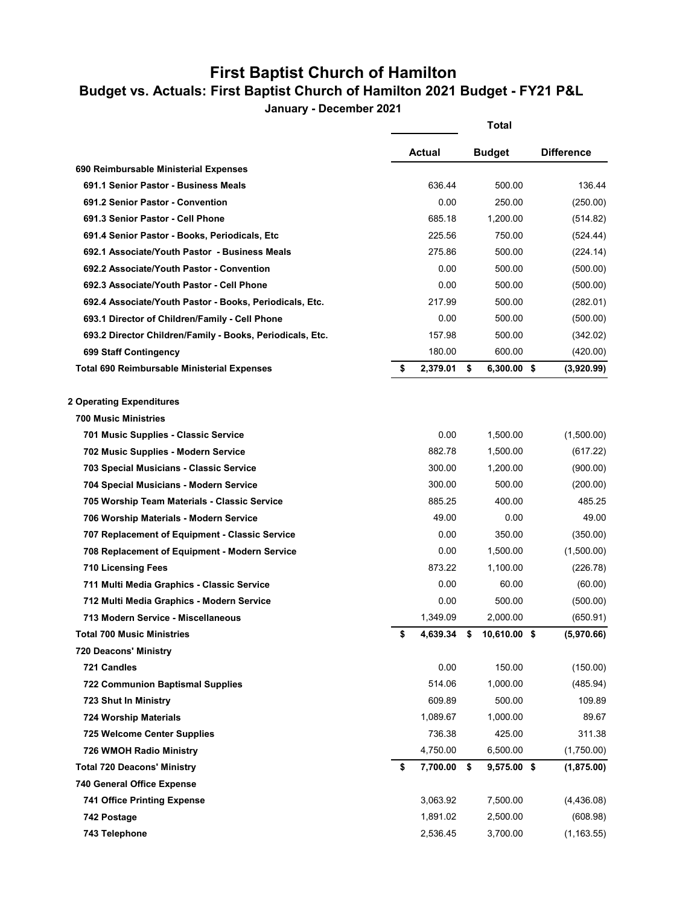## **First Baptist Church of Hamilton**

## **Budget vs. Actuals: First Baptist Church of Hamilton 2021 Budget - FY21 P&L**

**January - December 2021**

|                                                           |                | <b>Total</b>        |                   |
|-----------------------------------------------------------|----------------|---------------------|-------------------|
|                                                           | Actual         | <b>Budget</b>       | <b>Difference</b> |
| 690 Reimbursable Ministerial Expenses                     |                |                     |                   |
| 691.1 Senior Pastor - Business Meals                      | 636.44         | 500.00              | 136.44            |
| 691.2 Senior Pastor - Convention                          | 0.00           | 250.00              | (250.00)          |
| 691.3 Senior Pastor - Cell Phone                          | 685.18         | 1,200.00            | (514.82)          |
| 691.4 Senior Pastor - Books, Periodicals, Etc             | 225.56         | 750.00              | (524.44)          |
| 692.1 Associate/Youth Pastor - Business Meals             | 275.86         | 500.00              | (224.14)          |
| 692.2 Associate/Youth Pastor - Convention                 | 0.00           | 500.00              | (500.00)          |
| 692.3 Associate/Youth Pastor - Cell Phone                 | 0.00           | 500.00              | (500.00)          |
| 692.4 Associate/Youth Pastor - Books, Periodicals, Etc.   | 217.99         | 500.00              | (282.01)          |
| 693.1 Director of Children/Family - Cell Phone            | 0.00           | 500.00              | (500.00)          |
| 693.2 Director Children/Family - Books, Periodicals, Etc. | 157.98         | 500.00              | (342.02)          |
| 699 Staff Contingency                                     | 180.00         | 600.00              | (420.00)          |
| Total 690 Reimbursable Ministerial Expenses               | \$<br>2,379.01 | \$<br>6,300.00 \$   | (3,920.99)        |
| <b>2 Operating Expenditures</b>                           |                |                     |                   |
| <b>700 Music Ministries</b>                               |                |                     |                   |
| 701 Music Supplies - Classic Service                      | 0.00           | 1,500.00            | (1,500.00)        |
| 702 Music Supplies - Modern Service                       | 882.78         | 1,500.00            | (617.22)          |
| 703 Special Musicians - Classic Service                   | 300.00         | 1,200.00            | (900.00)          |
| 704 Special Musicians - Modern Service                    | 300.00         | 500.00              | (200.00)          |
| 705 Worship Team Materials - Classic Service              | 885.25         | 400.00              | 485.25            |
| 706 Worship Materials - Modern Service                    | 49.00          | 0.00                | 49.00             |
| 707 Replacement of Equipment - Classic Service            | 0.00           | 350.00              | (350.00)          |
| 708 Replacement of Equipment - Modern Service             | 0.00           | 1,500.00            | (1,500.00)        |
| <b>710 Licensing Fees</b>                                 | 873.22         | 1,100.00            | (226.78)          |
| 711 Multi Media Graphics - Classic Service                | 0.00           | 60.00               | (60.00)           |
| 712 Multi Media Graphics - Modern Service                 | 0.00           | 500.00              | (500.00)          |
| 713 Modern Service - Miscellaneous                        | 1,349.09       | 2,000.00            | (650.91)          |
| <b>Total 700 Music Ministries</b>                         | \$<br>4,639.34 | \$<br>10,610.00 \$  | (5,970.66)        |
| <b>720 Deacons' Ministry</b>                              |                |                     |                   |
| 721 Candles                                               | 0.00           | 150.00              | (150.00)          |
| <b>722 Communion Baptismal Supplies</b>                   | 514.06         | 1,000.00            | (485.94)          |
| 723 Shut In Ministry                                      | 609.89         | 500.00              | 109.89            |
| <b>724 Worship Materials</b>                              | 1,089.67       | 1,000.00            | 89.67             |
| <b>725 Welcome Center Supplies</b>                        | 736.38         | 425.00              | 311.38            |
| 726 WMOH Radio Ministry                                   | 4,750.00       | 6,500.00            | (1,750.00)        |
| <b>Total 720 Deacons' Ministry</b>                        | \$<br>7,700.00 | \$<br>$9,575.00$ \$ | (1,875.00)        |
| 740 General Office Expense                                |                |                     |                   |
| <b>741 Office Printing Expense</b>                        | 3,063.92       | 7,500.00            | (4,436.08)        |
| 742 Postage                                               | 1,891.02       | 2,500.00            | (608.98)          |
| 743 Telephone                                             | 2,536.45       | 3,700.00            | (1, 163.55)       |